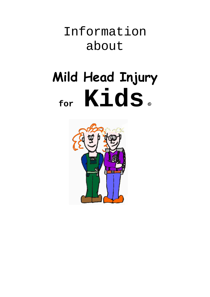Information about

# **Mild Head Injury for Kids** ©

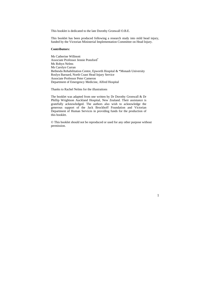This booklet is dedicated to the late Dorothy Gronwall O.B.E.

This booklet has been produced following a research study into mild head injury, funded by the Victorian Ministerial Implementation Committee on Head Injury.

#### **Contributors:**

Ms Catherine Willmott Associate Professor Jennie Ponsford\* Ms Robyn Nelms Ms Carolyn Curran Bethesda Rehabilitation Centre, Epworth Hospital & \*Monash University Roslyn Barnard, North Coast Head Injury Service Associate Professor Peter Cameron Department of Emergency Medicine, Alfred Hospital

Thanks to Rachel Nelms for the illustrations

The booklet was adapted from one written by Dr Dorothy Gronwall & Dr Phillip Wrightson Auckland Hospital, New Zealand. Their assistance is gratefully acknowledged. The authors also wish to acknowledge the generous support of the Jack Brockhoff Foundation and Victorian Department of Human Services in providing funds for the production of this booklet.

© This booklet should not be reproduced or used for any other purpose without permission.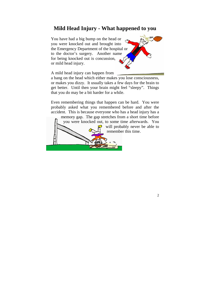#### **Mild Head Injury - What happened to you**

You have had a big bump on the head or you were knocked out and brought into the Emergency Department of the hospital or to the doctor's surgery. Another name for being knocked out is concussion, or mild head injury.



2

A mild head injury can happen from

a bang on the head which either makes you lose consciousness, or makes you dizzy. It usually takes a few days for the brain to get better. Until then your brain might feel "sleepy". Things that you do may be a bit harder for a while.

Even remembering things that happen can be hard. You were probably asked what you remembered before and after the accident. This is because everyone who has a head injury has a memory gap. The gap stretches from a short time before you were knocked out, to some time afterwards. You will probably never be able to remember this time.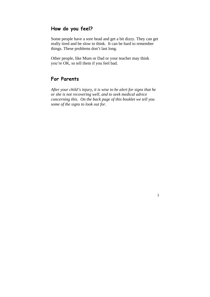#### **How do you feel?**

Some people have a sore head and get a bit dizzy. They can get really tired and be slow to think. It can be hard to remember things. These problems don't last long.

Other people, like Mum or Dad or your teacher may think you're OK, so tell them if you feel bad.

#### **For Parents**

*After your child's injury, it is wise to be alert for signs that he or she is not recovering well, and to seek medical advice concerning this. On the back page of this booklet we tell you some of the signs to look out for.*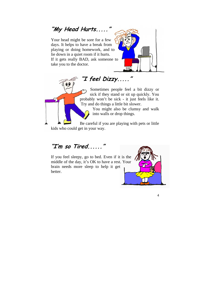**"My Head Hurts....."**

Your head might be sore for a few days. It helps to have a break from playing or doing homework, and to lie down in a quiet room if it hurts. If it gets really BAD, ask someone to take you to the doctor.



Sometimes people feel a bit dizzy or sick if they stand or sit up quickly. You probably won't be sick - it just feels like it. Try and do things a little bit slower.

You might also be clumsy and walk into walls or drop things.

Be careful if you are playing with pets or little kids who could get in your way.

**"I feel Dizzy....."**

# **"I'm so Tired......"**

If you feel sleepy, go to bed. Even if it is the middle of the day, it's OK to have a rest. Your brain needs more sleep to help it get better.

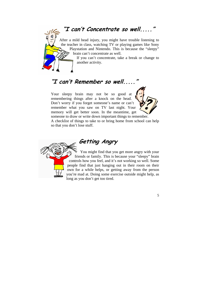**"I can't Concentrate so well....."** After a mild head injury, you might have trouble listening to the teacher in class, watching TV or playing games like Sony Playstation and Nintendo. This is because the "sleepy" brain can't concentrate as well. If you can't concentrate, take a break or change to another activity.

# **"I can't Remember so well....."**

Your sleepy brain may not be so good at remembering things after a knock on the head. Don't worry if you forget someone's name or can't remember what you saw on TV last night. Your memory will get better soon. In the meantime, get someone to draw or write down important things to remember. A checklist of things to take to or bring home from school can help so that you don't lose stuff.



# **Getting Angry**

You might find that you get more angry with your friends or family. This is because your "sleepy" brain controls how you feel, and it's not working so well. Some people find that just hanging out in their room on their own for a while helps, or getting away from the person you're mad at. Doing some exercise outside might help, as long as you don't get too tired.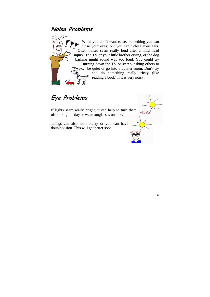### **Noise Problems**



When you don't want to see something you can close your eyes, but you can't close your ears. Often noises seem really loud after a mild head injury. The TV or your little brother crying, or the dog barking might sound way too loud. You could try turning down the TV or stereo, asking others to be quiet or go into a quieter room. Don't try and do something really tricky (like reading a book) if it is very noisy.

# **Eye Problems**

If lights seem really bright, it can help to turn them off. during the day or wear sunglasses outside.

Things can also look blurry or you can have double vision. This will get better soon.

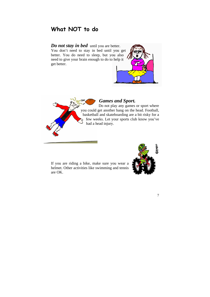## **What NOT to do**

#### *Do not stay in bed* until you are better. You don't need to stay in bed until you get better. You do need to sleep, but you also need to give your brain enough to do to help it get better.





#### *Games and Sport.*

Do not play any games or sport where you could get another bang on the head. Football, basketball and skateboarding are a bit risky for a few weeks. Let your sports club know you've had a head injury.

If you are riding a bike, make sure you wear a helmet. Other activities like swimming and tennis are OK.

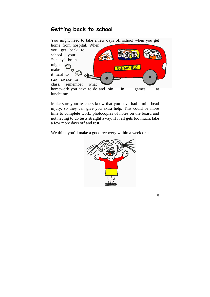### **Getting back to school**



Make sure your teachers know that you have had a mild head injury, so they can give you extra help. This could be more time to complete work, photocopies of notes on the board and not having to do tests straight away. If it all gets too much, take a few more days off and rest.

We think you'll make a good recovery within a week or so.



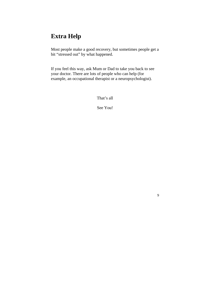# **Extra Help**

Most people make a good recovery, but sometimes people get a bit "stressed out" by what happened.

If you feel this way, ask Mum or Dad to take you back to see your doctor. There are lots of people who can help (for example, an occupational therapist or a neuropsychologist).

That's all

See You!